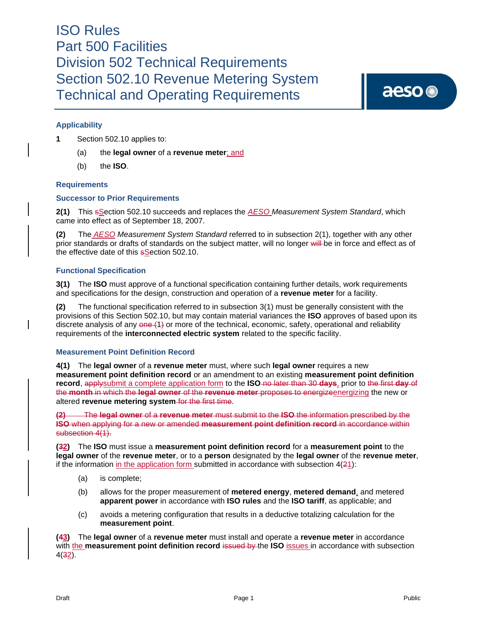aeso<sup>®</sup>

## **Applicability**

**1** Section 502.10 applies to:

- (a) the **legal owner** of a **revenue meter**; and
- (b) the **ISO**.

### **Requirements**

### **Successor to Prior Requirements**

**2(1)** This sSection 502.10 succeeds and replaces the *AESO Measurement System Standard*, which came into effect as of September 18, 2007.

**(2)** The *AESO Measurement System Standard* referred to in subsection 2(1), together with any other prior standards or drafts of standards on the subject matter, will no longer will be in force and effect as of the effective date of this **s**Section 502.10.

### **Functional Specification**

**3(1)** The **ISO** must approve of a functional specification containing further details, work requirements and specifications for the design, construction and operation of a **revenue meter** for a facility.

**(2)** The functional specification referred to in subsection 3(1) must be generally consistent with the provisions of this Section 502.10, but may contain material variances the **ISO** approves of based upon its discrete analysis of any  $\theta$ ne (1) or more of the technical, economic, safety, operational and reliability requirements of the **interconnected electric system** related to the specific facility.

### **Measurement Point Definition Record**

**4(1)** The **legal owner** of a **revenue meter** must, where such **legal owner** requires a new **measurement point definition record** or an amendment to an existing **measurement point definition record**, applysubmit a complete application form to the **ISO** no later than 30 **days**, prior to the first **day** of the **month** in which the **legal owner** of the **revenue meter** proposes to energizeenergizing the new or altered **revenue metering system** for the first time.

**(2)** The **legal owner** of a **revenue meter** must submit to the **ISO** the information prescribed by the **ISO** when applying for a new or amended **measurement point definition record** in accordance within subsection  $4(1)$ .

**(32)** The **ISO** must issue a **measurement point definition record** for a **measurement point** to the **legal owner** of the **revenue meter**, or to a **person** designated by the **legal owner** of the **revenue meter**, if the information in the application form submitted in accordance with subsection  $4(21)$ :

- (a) is complete;
- (b) allows for the proper measurement of **metered energy**, **metered demand**, and metered **apparent power** in accordance with **ISO rules** and the **ISO tariff**, as applicable; and
- (c) avoids a metering configuration that results in a deductive totalizing calculation for the **measurement point**.

**(43)** The **legal owner** of a **revenue meter** must install and operate a **revenue meter** in accordance with the **measurement point definition record** issued by the ISO **issues** in accordance with subsection 4(32).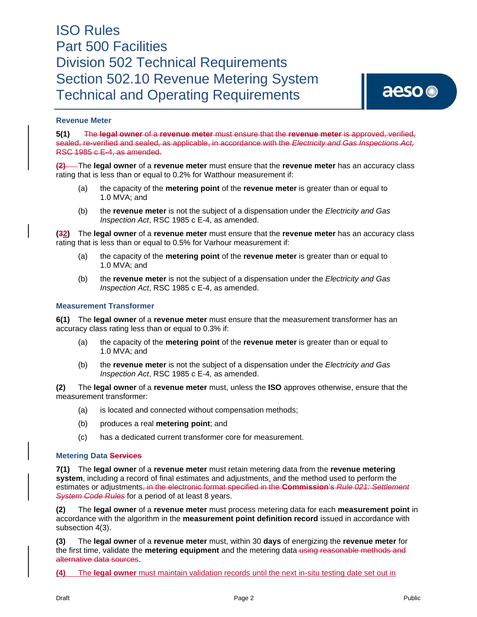## **Revenue Meter**

**5(1)** The **legal owner** of a **revenue meter** must ensure that the **revenue meter** is approved, verified, sealed, re-verified and sealed, as applicable, in accordance with the *Electricity and Gas Inspections Act,*  RSC 1985 c E-4, as amended.

**(2)** The **legal owner** of a **revenue meter** must ensure that the **revenue meter** has an accuracy class rating that is less than or equal to 0.2% for Watthour measurement if:

- (a) the capacity of the **metering point** of the **revenue meter** is greater than or equal to 1.0 MVA; and
- (b) the **revenue meter** is not the subject of a dispensation under the *Electricity and Gas Inspection Act*, RSC 1985 c E-4, as amended.

**(32)** The **legal owner** of a **revenue meter** must ensure that the **revenue meter** has an accuracy class rating that is less than or equal to 0.5% for Varhour measurement if:

- (a) the capacity of the **metering point** of the **revenue meter** is greater than or equal to 1.0 MVA; and
- (b) the **revenue meter** is not the subject of a dispensation under the *Electricity and Gas Inspection Act*, RSC 1985 c E-4, as amended.

### **Measurement Transformer**

**6(1)** The **legal owner** of a **revenue meter** must ensure that the measurement transformer has an accuracy class rating less than or equal to 0.3% if:

- (a) the capacity of the **metering point** of the **revenue meter** is greater than or equal to 1.0 MVA; and
- (b) the **revenue meter** is not the subject of a dispensation under the *Electricity and Gas Inspection Act*, RSC 1985 c E-4, as amended.

**(2)** The **legal owner** of a **revenue meter** must, unless the **ISO** approves otherwise, ensure that the measurement transformer:

- (a) is located and connected without compensation methods;
- (b) produces a real **metering point**; and
- (c) has a dedicated current transformer core for measurement.

#### **Metering Data Services**

**7(1)** The **legal owner** of a **revenue meter** must retain metering data from the **revenue metering system**, including a record of final estimates and adjustments, and the method used to perform the estimates or adjustments, in the electronic format specified in the **Commission**'s *Rule 021: Settlement System Code Rules* for a period of at least 8 years.

**(2)** The **legal owner** of a **revenue meter** must process metering data for each **measurement point** in accordance with the algorithm in the **measurement point definition record** issued in accordance with subsection 4(3).

**(3)** The **legal owner** of a **revenue meter** must, within 30 **days** of energizing the **revenue meter** for the first time, validate the **metering equipment** and the metering data using reasonable methods and alternative data sources.

**(4)** The **legal owner** must maintain validation records until the next in-situ testing date set out in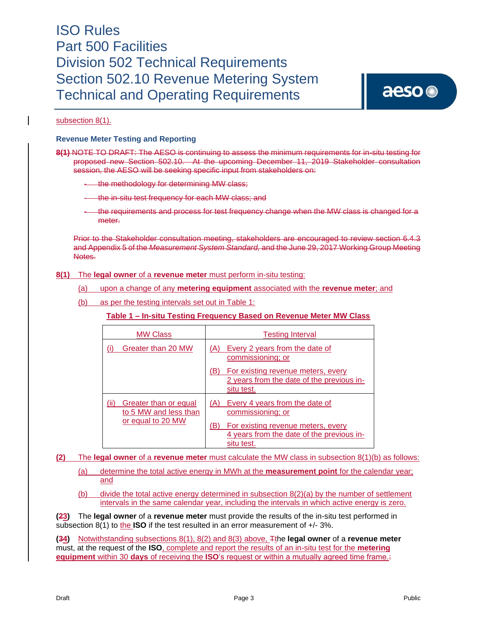# aeso<sup>®</sup>

### subsection 8(1).

### **Revenue Meter Testing and Reporting**

**8(1)** NOTE TO DRAFT: The AESO is continuing to assess the minimum requirements for in-situ testing for proposed new Section 502.10. At the upcoming December 11, 2019 Stakeholder consultation session, the AESO will be seeking specific input from stakeholders on:

- the methodology for determining MW class;
- the in-situ test frequency for each MW class; and
- the requirements and process for test frequency change when the MW class is changed for a meter.

Prior to the Stakeholder consultation meeting, stakeholders are encouraged to review section 6.4.3 and Appendix 5 of the *Measurement System Standard,* and the June 29, 2017 Working Group Meeting Notes.

### **8(1)** The **legal owner** of a **revenue meter** must perform in-situ testing:

- (a) upon a change of any **metering equipment** associated with the **revenue meter**; and
- (b) as per the testing intervals set out in Table 1:

### **Table 1 – In-situ Testing Frequency Based on Revenue Meter MW Class**

| <b>MW Class</b>                                                             | <b>Testing Interval</b>                                                                                                                                            |
|-----------------------------------------------------------------------------|--------------------------------------------------------------------------------------------------------------------------------------------------------------------|
| Greater than 20 MW                                                          | Every 2 years from the date of<br>(A)<br>commissioning; or                                                                                                         |
|                                                                             | For existing revenue meters, every<br>(B)<br>2 years from the date of the previous in-<br>situ test.                                                               |
| Greater than or equal<br>(ii)<br>to 5 MW and less than<br>or equal to 20 MW | Every 4 years from the date of<br>(A)<br>commissioning; or<br>For existing revenue meters, every<br>(B)<br>4 years from the date of the previous in-<br>situ test. |

**(2)** The **legal owner** of a **revenue meter** must calculate the MW class in subsection 8(1)(b) as follows:

(a) determine the total active energy in MWh at the **measurement point** for the calendar year; and

(b) divide the total active energy determined in subsection  $8(2)(a)$  by the number of settlement intervals in the same calendar year, including the intervals in which active energy is zero.

**(23)** The **legal owner** of a **revenue meter** must provide the results of the in-situ test performed in subsection 8(1) to the **ISO** if the test resulted in an error measurement of +/- 3%.

**(34)** Notwithstanding subsections 8(1), 8(2) and 8(3) above, Tthe **legal owner** of a **revenue meter** must, at the request of the **ISO**, complete and report the results of an in-situ test for the **metering equipment** within 30 **days** of receiving the **ISO**'s request or within a mutually agreed time frame.: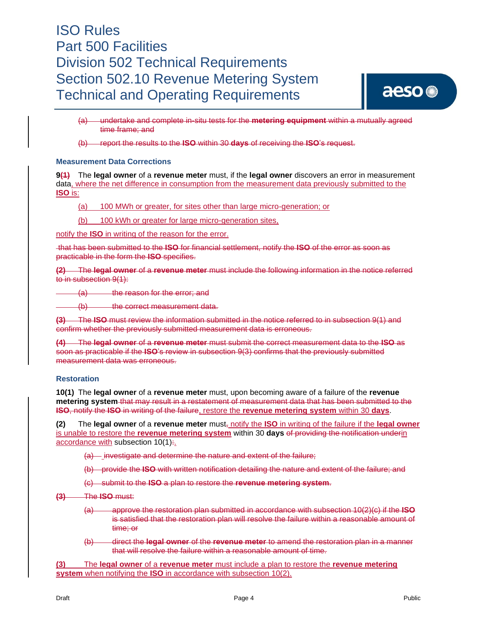

(a) undertake and complete in-situ tests for the **metering equipment** within a mutually agreed time frame; and

(b) report the results to the **ISO** within 30 **days** of receiving the **ISO**'s request.

### **Measurement Data Corrections**

**9(1)** The **legal owner** of a **revenue meter** must, if the **legal owner** discovers an error in measurement data, where the net difference in consumption from the measurement data previously submitted to the **ISO** is:

(a) 100 MWh or greater, for sites other than large micro-generation; or

(b) 100 kWh or greater for large micro-generation sites,

notify the **ISO** in writing of the reason for the error.

that has been submitted to the **ISO** for financial settlement, notify the **ISO** of the error as soon as practicable in the form the **ISO** specifies.

**(2)** The **legal owner** of a **revenue meter** must include the following information in the notice referred to in subsection 9(1):

(a) the reason for the error; and

(b) the correct measurement data.

**(3)** The **ISO** must review the information submitted in the notice referred to in subsection 9(1) and confirm whether the previously submitted measurement data is erroneous.

**(4)** The **legal owner** of a **revenue meter** must submit the correct measurement data to the **ISO** as soon as practicable if the **ISO**'s review in subsection 9(3) confirms that the previously submitted measurement data was erroneous.

### **Restoration**

**10(1)** The **legal owner** of a **revenue meter** must, upon becoming aware of a failure of the **revenue metering system** that may result in a restatement of measurement data that has been submitted to the **ISO**, notify the **ISO** in writing of the failure, restore the **revenue metering system** within 30 **days**.

**(2)** The **legal owner** of a **revenue meter** must, notify the **ISO** in writing of the failure if the **legal owner** is unable to restore the **revenue metering system** within 30 **days** of providing the notification underin accordance with subsection 10(1):.

(a) investigate and determine the nature and extent of the failure;

(b) provide the **ISO** with written notification detailing the nature and extent of the failure; and

(c) submit to the **ISO** a plan to restore the **revenue metering system**.

**(3)** The **ISO** must:

- (a) approve the restoration plan submitted in accordance with subsection 10(2)(c) if the **ISO** is satisfied that the restoration plan will resolve the failure within a reasonable amount of time; or
- (b) direct the **legal owner** of the **revenue meter** to amend the restoration plan in a manner that will resolve the failure within a reasonable amount of time.

**(3)** The **legal owner** of a **revenue meter** must include a plan to restore the **revenue metering system** when notifying the **ISO** in accordance with subsection 10(2).